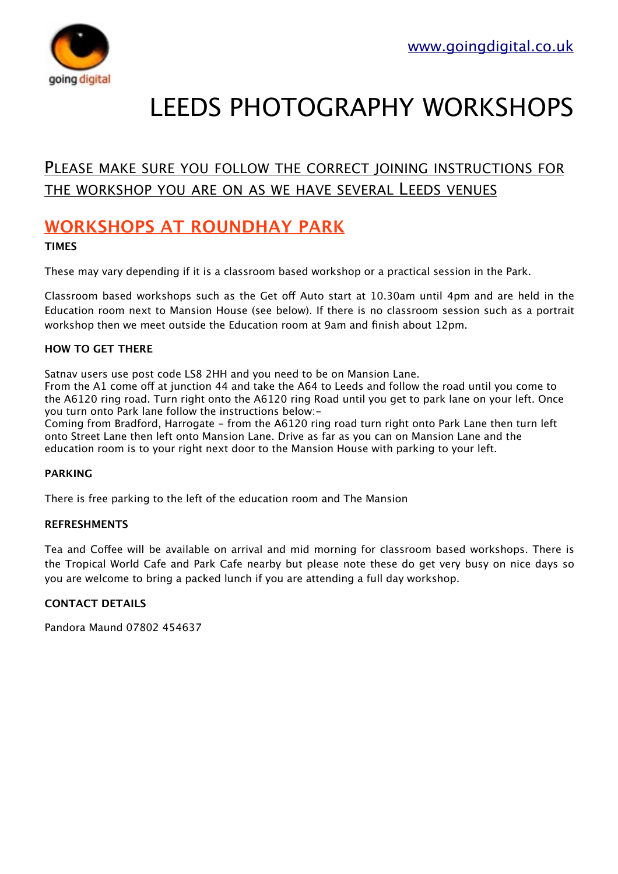

# LEEDS PHOTOGRAPHY WORKSHOPS

### PLEASE MAKE SURE YOU FOLLOW THE CORRECT JOINING INSTRUCTIONS FOR THE WORKSHOP YOU ARE ON AS WE HAVE SEVERAL LEEDS VENUES

## **WORKSHOPS AT ROUNDHAY PARK**

#### **TIMES**

These may vary depending if it is a classroom based workshop or a practical session in the Park.

Classroom based workshops such as the Get of Auto start at 10.30am until 4pm and are held in the Education room next to Mansion House (see below). If there is no classroom session such as a portrait workshop then we meet outside the Education room at 9am and finish about 12pm.

#### **HOW TO GET THERE**

Satnav users use post code LS8 2HH and you need to be on Mansion Lane.

From the A1 come off at junction 44 and take the A64 to Leeds and follow the road until you come to the A6120 ring road. Turn right onto the A6120 ring Road until you get to park lane on your left. Once you turn onto Park lane follow the instructions below:-

Coming from Bradford, Harrogate - from the A6120 ring road turn right onto Park Lane then turn left onto Street Lane then left onto Mansion Lane. Drive as far as you can on Mansion Lane and the education room is to your right next door to the Mansion House with parking to your left.

#### **PARKING**

There is free parking to the left of the education room and The Mansion

#### **REFRESHMENTS**

Tea and Coffee will be available on arrival and mid morning for classroom based workshops. There is the Tropical World Cafe and Park Cafe nearby but please note these do get very busy on nice days so you are welcome to bring a packed lunch if you are attending a full day workshop.

#### **CONTACT DETAILS**

Pandora Maund 07802 454637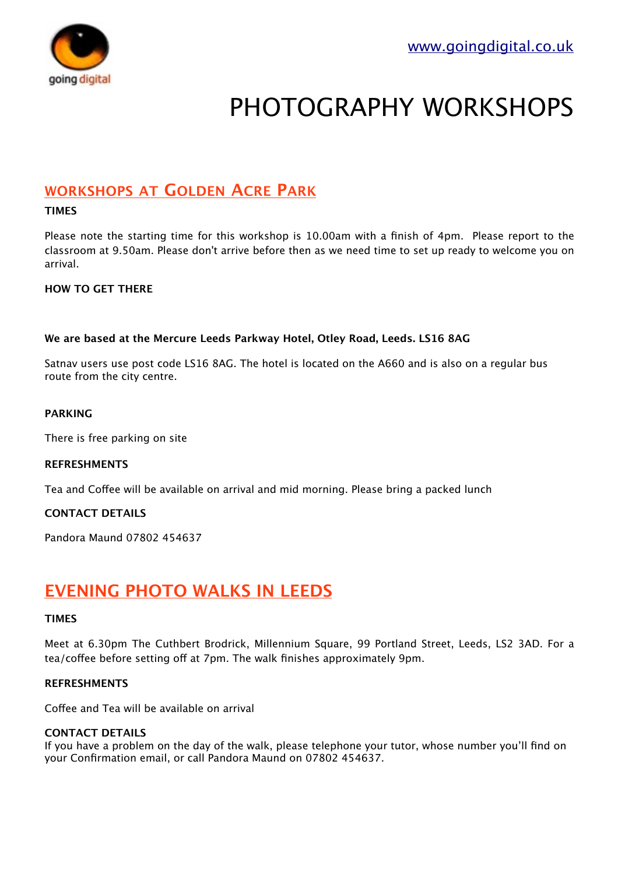

# PHOTOGRAPHY WORKSHOPS

### **WORKSHOPS AT GOLDEN ACRE PARK**

#### **TIMES**

Please note the starting time for this workshop is 10.00am with a finish of 4pm. Please report to the classroom at 9.50am. Please don't arrive before then as we need time to set up ready to welcome you on arrival.

#### **HOW TO GET THERE**

#### **We are based at the Mercure Leeds Parkway Hotel, Otley Road, Leeds. LS16 8AG**

Satnav users use post code LS16 8AG. The hotel is located on the A660 and is also on a regular bus route from the city centre.

#### **PARKING**

There is free parking on site

#### **REFRESHMENTS**

Tea and Cofee will be available on arrival and mid morning. Please bring a packed lunch

#### **CONTACT DETAILS**

Pandora Maund 07802 454637

### **EVENING PHOTO WALKS IN LEEDS**

#### **TIMES**

Meet at 6.30pm The Cuthbert Brodrick, Millennium Square, 99 Portland Street, Leeds, LS2 3AD. For a tea/coffee before setting off at 7pm. The walk finishes approximately 9pm.

#### **REFRESHMENTS**

Coffee and Tea will be available on arrival

#### **CONTACT DETAILS**

If you have a problem on the day of the walk, please telephone your tutor, whose number you'll find on your Confirmation email, or call Pandora Maund on 07802 454637.